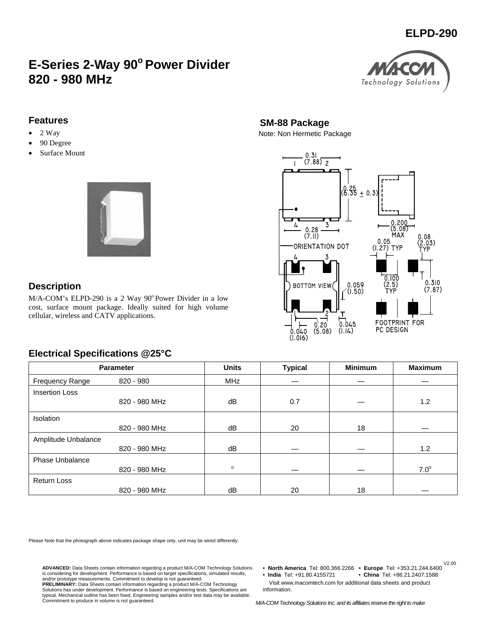# **ELPD-290**

# **E-Series 2-Way 90° Power Divider 820 - 980 MHz**



#### **Features**

- $\bullet$  2 Way
- 90 Degree
- Surface Mount



#### **Description**

 $M/A$ -COM's ELPD-290 is a 2 Way 90 $^{\circ}$ Power Divider in a low cost, surface mount package. Ideally suited for high volume cellular, wireless and CATV applications.

# **SM-88 Package**

Note: Non Hermetic Package



## **Electrical Specifications @25°C**

| <b>Parameter</b>       |               | <b>Units</b> | <b>Typical</b> | <b>Minimum</b> | <b>Maximum</b> |
|------------------------|---------------|--------------|----------------|----------------|----------------|
| <b>Frequency Range</b> | 820 - 980     | <b>MHz</b>   |                |                |                |
| <b>Insertion Loss</b>  |               |              |                |                |                |
|                        | 820 - 980 MHz | dB           | 0.7            |                | 1.2            |
| <b>Isolation</b>       |               |              |                |                |                |
|                        | 820 - 980 MHz | dB           | 20             | 18             |                |
| Amplitude Unbalance    |               |              |                |                |                |
|                        | 820 - 980 MHz | dB           |                |                | 1.2            |
| <b>Phase Unbalance</b> |               |              |                |                |                |
|                        | 820 - 980 MHz | $\circ$      |                |                | $7.0^\circ$    |
| <b>Return Loss</b>     |               |              |                |                |                |
|                        | 820 - 980 MHz | dB           | 20             | 18             |                |

Please Note that the photograph above indicates package shape only, unit may be wired differently.

and/or prototype measurements. Commitment to develop is not guaranteed.

**ADVANCED:** Data Sheets contain information regarding a product M/A-COM Technology Solutions is considering for development. Performance is based on target specifications, simulated results,

**PRELIMINARY:** Data Sheets contain information regarding a product M/A-COM Technology Solutions has under development. Performance is based on engineering tests. Specifications are typical. Mechanical outline has been fixed. Engineering samples and/or test data may be available. Commitment to produce in volume is not guaranteed. • **North America** Tel: 800.366.2266 • **Europe** Tel: +353.21.244.6400

V2.00

• **India** Tel: +91.80.4155721 • **China** Tel: +86.21.2407.1588

 Visit www.macomtech.com for additional data sheets and product information.

*M/A-COM Technology Solutions Inc. and its affiliates reserve the right to make*